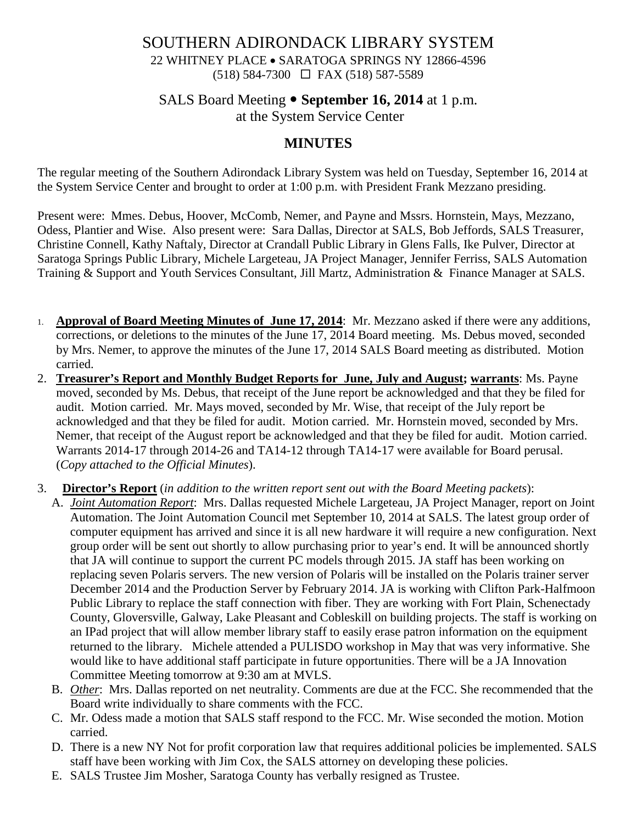### SOUTHERN ADIRONDACK LIBRARY SYSTEM 22 WHITNEY PLACE • SARATOGA SPRINGS NY 12866-4596 (518) 584-7300 FAX (518) 587-5589

# SALS Board Meeting **September 16, 2014** at 1 p.m.

at the System Service Center

### **MINUTES**

The regular meeting of the Southern Adirondack Library System was held on Tuesday, September 16, 2014 at the System Service Center and brought to order at 1:00 p.m. with President Frank Mezzano presiding.

Present were: Mmes. Debus, Hoover, McComb, Nemer, and Payne and Mssrs. Hornstein, Mays, Mezzano, Odess, Plantier and Wise. Also present were: Sara Dallas, Director at SALS, Bob Jeffords, SALS Treasurer, Christine Connell, Kathy Naftaly, Director at Crandall Public Library in Glens Falls, Ike Pulver, Director at Saratoga Springs Public Library, Michele Largeteau, JA Project Manager, Jennifer Ferriss, SALS Automation Training & Support and Youth Services Consultant, Jill Martz, Administration & Finance Manager at SALS.

- 1. **Approval of Board Meeting Minutes of June 17, 2014**: Mr. Mezzano asked if there were any additions, corrections, or deletions to the minutes of the June 17, 2014 Board meeting. Ms. Debus moved, seconded by Mrs. Nemer, to approve the minutes of the June 17, 2014 SALS Board meeting as distributed. Motion carried.
- 2. **Treasurer's Report and Monthly Budget Reports for June, July and August; warrants**: Ms. Payne moved, seconded by Ms. Debus, that receipt of the June report be acknowledged and that they be filed for audit. Motion carried. Mr. Mays moved, seconded by Mr. Wise, that receipt of the July report be acknowledged and that they be filed for audit. Motion carried. Mr. Hornstein moved, seconded by Mrs. Nemer, that receipt of the August report be acknowledged and that they be filed for audit. Motion carried. Warrants 2014-17 through 2014-26 and TA14-12 through TA14-17 were available for Board perusal. (*Copy attached to the Official Minutes*).
- 3. **Director's Report** (*in addition to the written report sent out with the Board Meeting packets*):
	- A. *Joint Automation Report*: Mrs. Dallas requested Michele Largeteau, JA Project Manager, report on Joint Automation. The Joint Automation Council met September 10, 2014 at SALS. The latest group order of computer equipment has arrived and since it is all new hardware it will require a new configuration. Next group order will be sent out shortly to allow purchasing prior to year's end. It will be announced shortly that JA will continue to support the current PC models through 2015. JA staff has been working on replacing seven Polaris servers. The new version of Polaris will be installed on the Polaris trainer server December 2014 and the Production Server by February 2014. JA is working with Clifton Park-Halfmoon Public Library to replace the staff connection with fiber. They are working with Fort Plain, Schenectady County, Gloversville, Galway, Lake Pleasant and Cobleskill on building projects. The staff is working on an IPad project that will allow member library staff to easily erase patron information on the equipment returned to the library. Michele attended a PULISDO workshop in May that was very informative. She would like to have additional staff participate in future opportunities. There will be a JA Innovation Committee Meeting tomorrow at 9:30 am at MVLS.
	- B. *Other*: Mrs. Dallas reported on net neutrality. Comments are due at the FCC. She recommended that the Board write individually to share comments with the FCC.
	- C. Mr. Odess made a motion that SALS staff respond to the FCC. Mr. Wise seconded the motion. Motion carried.
	- D. There is a new NY Not for profit corporation law that requires additional policies be implemented. SALS staff have been working with Jim Cox, the SALS attorney on developing these policies.
	- E. SALS Trustee Jim Mosher, Saratoga County has verbally resigned as Trustee.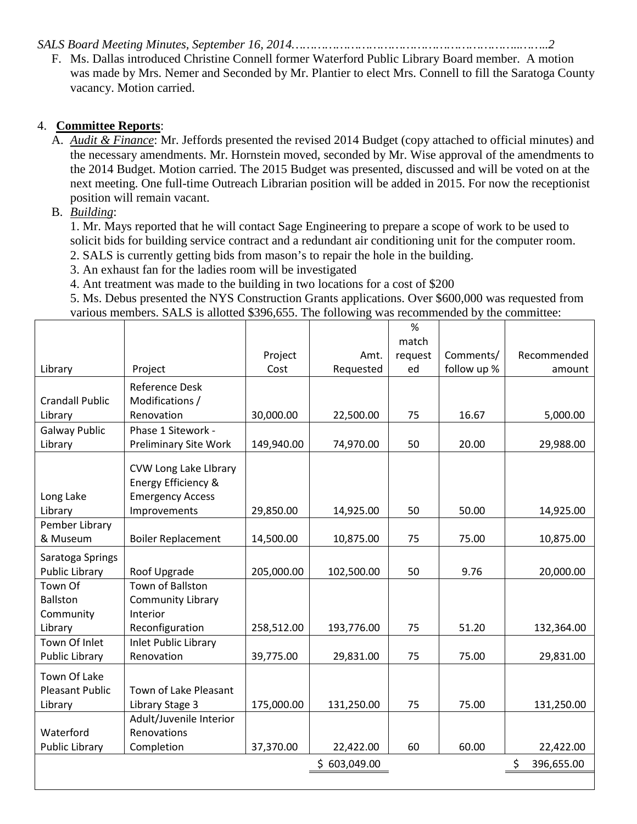*SALS Board Meeting Minutes, September 16, 2014……………………………………………………..……..2*

F. Ms. Dallas introduced Christine Connell former Waterford Public Library Board member. A motion was made by Mrs. Nemer and Seconded by Mr. Plantier to elect Mrs. Connell to fill the Saratoga County vacancy. Motion carried.

#### 4. **Committee Reports**:

A. *Audit & Finance*: Mr. Jeffords presented the revised 2014 Budget (copy attached to official minutes) and the necessary amendments. Mr. Hornstein moved, seconded by Mr. Wise approval of the amendments to the 2014 Budget. Motion carried. The 2015 Budget was presented, discussed and will be voted on at the next meeting. One full-time Outreach Librarian position will be added in 2015. For now the receptionist position will remain vacant.

### B. *Building*:

1. Mr. Mays reported that he will contact Sage Engineering to prepare a scope of work to be used to solicit bids for building service contract and a redundant air conditioning unit for the computer room. 2. SALS is currently getting bids from mason's to repair the hole in the building.

- 3. An exhaust fan for the ladies room will be investigated
- 4. Ant treatment was made to the building in two locations for a cost of \$200

5. Ms. Debus presented the NYS Construction Grants applications. Over \$600,000 was requested from various members. SALS is allotted \$396,655. The following was recommended by the committee:

|                        |                              |            |              | %       |             |                  |
|------------------------|------------------------------|------------|--------------|---------|-------------|------------------|
|                        |                              |            |              | match   |             |                  |
|                        |                              | Project    | Amt.         | request | Comments/   | Recommended      |
| Library                | Project                      | Cost       | Requested    | ed      | follow up % | amount           |
|                        | <b>Reference Desk</b>        |            |              |         |             |                  |
| <b>Crandall Public</b> | Modifications /              |            |              |         |             |                  |
| Library                | Renovation                   | 30,000.00  | 22,500.00    | 75      | 16.67       | 5,000.00         |
| <b>Galway Public</b>   | Phase 1 Sitework -           |            |              |         |             |                  |
| Library                | <b>Preliminary Site Work</b> | 149,940.00 | 74,970.00    | 50      | 20.00       | 29,988.00        |
|                        |                              |            |              |         |             |                  |
|                        | CVW Long Lake LIbrary        |            |              |         |             |                  |
|                        | Energy Efficiency &          |            |              |         |             |                  |
| Long Lake              | <b>Emergency Access</b>      |            |              |         |             |                  |
| Library                | Improvements                 | 29,850.00  | 14,925.00    | 50      | 50.00       | 14,925.00        |
| Pember Library         |                              |            |              |         |             |                  |
| & Museum               | <b>Boiler Replacement</b>    | 14,500.00  | 10,875.00    | 75      | 75.00       | 10,875.00        |
| Saratoga Springs       |                              |            |              |         |             |                  |
| <b>Public Library</b>  | Roof Upgrade                 | 205,000.00 | 102,500.00   | 50      | 9.76        | 20,000.00        |
| Town Of                | <b>Town of Ballston</b>      |            |              |         |             |                  |
| Ballston               | <b>Community Library</b>     |            |              |         |             |                  |
| Community              | Interior                     |            |              |         |             |                  |
| Library                | Reconfiguration              | 258,512.00 | 193,776.00   | 75      | 51.20       | 132,364.00       |
| Town Of Inlet          | <b>Inlet Public Library</b>  |            |              |         |             |                  |
| Public Library         | Renovation                   | 39,775.00  | 29,831.00    | 75      | 75.00       | 29,831.00        |
| Town Of Lake           |                              |            |              |         |             |                  |
| <b>Pleasant Public</b> | Town of Lake Pleasant        |            |              |         |             |                  |
| Library                | Library Stage 3              | 175,000.00 | 131,250.00   | 75      | 75.00       | 131,250.00       |
|                        | Adult/Juvenile Interior      |            |              |         |             |                  |
| Waterford              | Renovations                  |            |              |         |             |                  |
| <b>Public Library</b>  | Completion                   | 37,370.00  | 22,422.00    | 60      | 60.00       | 22,422.00        |
|                        |                              |            | \$603,049.00 |         |             | \$<br>396,655.00 |
|                        |                              |            |              |         |             |                  |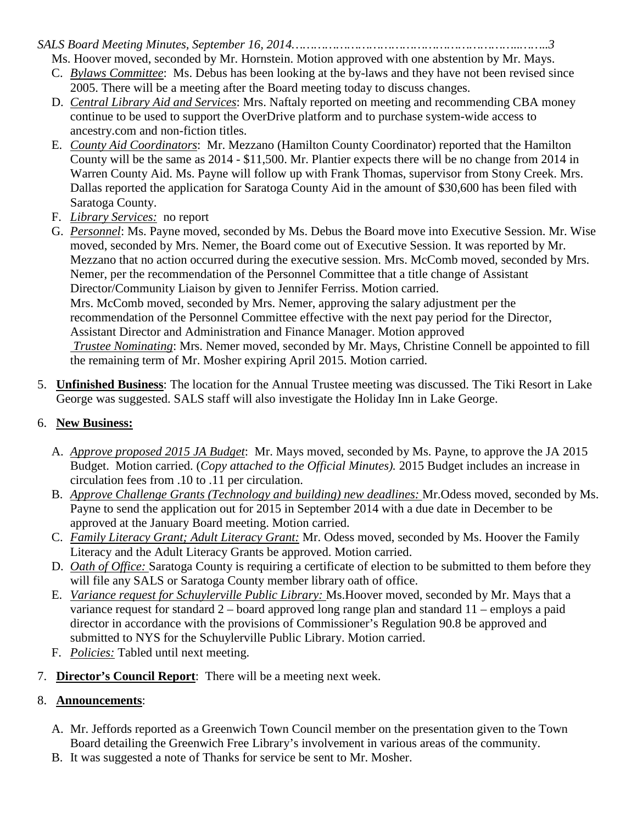*SALS Board Meeting Minutes, September 16, 2014……………………………………………………..……..3*

Ms. Hoover moved, seconded by Mr. Hornstein. Motion approved with one abstention by Mr. Mays.

- C. *Bylaws Committee*: Ms. Debus has been looking at the by-laws and they have not been revised since 2005. There will be a meeting after the Board meeting today to discuss changes.
- D. *Central Library Aid and Services*: Mrs. Naftaly reported on meeting and recommending CBA money continue to be used to support the OverDrive platform and to purchase system-wide access to ancestry.com and non-fiction titles.
- E. *County Aid Coordinators*: Mr. Mezzano (Hamilton County Coordinator) reported that the Hamilton County will be the same as 2014 - \$11,500. Mr. Plantier expects there will be no change from 2014 in Warren County Aid. Ms. Payne will follow up with Frank Thomas, supervisor from Stony Creek. Mrs. Dallas reported the application for Saratoga County Aid in the amount of \$30,600 has been filed with Saratoga County.
- F. *Library Services:* no report
- G. *Personnel*: Ms. Payne moved, seconded by Ms. Debus the Board move into Executive Session. Mr. Wise moved, seconded by Mrs. Nemer, the Board come out of Executive Session. It was reported by Mr. Mezzano that no action occurred during the executive session. Mrs. McComb moved, seconded by Mrs. Nemer, per the recommendation of the Personnel Committee that a title change of Assistant Director/Community Liaison by given to Jennifer Ferriss. Motion carried. Mrs. McComb moved, seconded by Mrs. Nemer, approving the salary adjustment per the recommendation of the Personnel Committee effective with the next pay period for the Director, Assistant Director and Administration and Finance Manager. Motion approved *Trustee Nominating*: Mrs. Nemer moved, seconded by Mr. Mays, Christine Connell be appointed to fill the remaining term of Mr. Mosher expiring April 2015. Motion carried.
- 5. **Unfinished Business**: The location for the Annual Trustee meeting was discussed. The Tiki Resort in Lake George was suggested. SALS staff will also investigate the Holiday Inn in Lake George.

# 6. **New Business:**

- A. *Approve proposed 2015 JA Budget*: Mr. Mays moved, seconded by Ms. Payne, to approve the JA 2015 Budget. Motion carried. (*Copy attached to the Official Minutes).* 2015 Budget includes an increase in circulation fees from .10 to .11 per circulation.
- B. *Approve Challenge Grants (Technology and building) new deadlines:* Mr.Odess moved, seconded by Ms. Payne to send the application out for 2015 in September 2014 with a due date in December to be approved at the January Board meeting. Motion carried.
- C. *Family Literacy Grant; Adult Literacy Grant:* Mr. Odess moved, seconded by Ms. Hoover the Family Literacy and the Adult Literacy Grants be approved. Motion carried.
- D. *Oath of Office:* Saratoga County is requiring a certificate of election to be submitted to them before they will file any SALS or Saratoga County member library oath of office.
- E. *Variance request for Schuylerville Public Library:* Ms.Hoover moved, seconded by Mr. Mays that a variance request for standard 2 – board approved long range plan and standard 11 – employs a paid director in accordance with the provisions of Commissioner's Regulation 90.8 be approved and submitted to NYS for the Schuylerville Public Library. Motion carried.
- F. *Policies:* Tabled until next meeting.
- 7. **Director's Council Report**: There will be a meeting next week.

# 8. **Announcements**:

- A. Mr. Jeffords reported as a Greenwich Town Council member on the presentation given to the Town Board detailing the Greenwich Free Library's involvement in various areas of the community.
- B. It was suggested a note of Thanks for service be sent to Mr. Mosher.